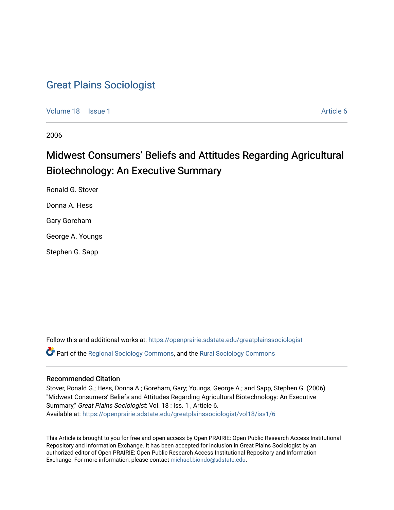# [Great Plains Sociologist](https://openprairie.sdstate.edu/greatplainssociologist)

[Volume 18](https://openprairie.sdstate.edu/greatplainssociologist/vol18) | [Issue 1](https://openprairie.sdstate.edu/greatplainssociologist/vol18/iss1) Article 6

2006

# Midwest Consumers' Beliefs and Attitudes Regarding Agricultural Biotechnology: An Executive Summary

Ronald G. Stover Donna A. Hess Gary Goreham George A. Youngs Stephen G. Sapp

Follow this and additional works at: [https://openprairie.sdstate.edu/greatplainssociologist](https://openprairie.sdstate.edu/greatplainssociologist?utm_source=openprairie.sdstate.edu%2Fgreatplainssociologist%2Fvol18%2Fiss1%2F6&utm_medium=PDF&utm_campaign=PDFCoverPages)  Part of the [Regional Sociology Commons](http://network.bepress.com/hgg/discipline/427?utm_source=openprairie.sdstate.edu%2Fgreatplainssociologist%2Fvol18%2Fiss1%2F6&utm_medium=PDF&utm_campaign=PDFCoverPages), and the [Rural Sociology Commons](http://network.bepress.com/hgg/discipline/428?utm_source=openprairie.sdstate.edu%2Fgreatplainssociologist%2Fvol18%2Fiss1%2F6&utm_medium=PDF&utm_campaign=PDFCoverPages) 

#### Recommended Citation

Stover, Ronald G.; Hess, Donna A.; Goreham, Gary; Youngs, George A.; and Sapp, Stephen G. (2006) "Midwest Consumers' Beliefs and Attitudes Regarding Agricultural Biotechnology: An Executive Summary," Great Plains Sociologist: Vol. 18 : Iss. 1 , Article 6. Available at: [https://openprairie.sdstate.edu/greatplainssociologist/vol18/iss1/6](https://openprairie.sdstate.edu/greatplainssociologist/vol18/iss1/6?utm_source=openprairie.sdstate.edu%2Fgreatplainssociologist%2Fvol18%2Fiss1%2F6&utm_medium=PDF&utm_campaign=PDFCoverPages)

This Article is brought to you for free and open access by Open PRAIRIE: Open Public Research Access Institutional Repository and Information Exchange. It has been accepted for inclusion in Great Plains Sociologist by an authorized editor of Open PRAIRIE: Open Public Research Access Institutional Repository and Information Exchange. For more information, please contact [michael.biondo@sdstate.edu.](mailto:michael.biondo@sdstate.edu)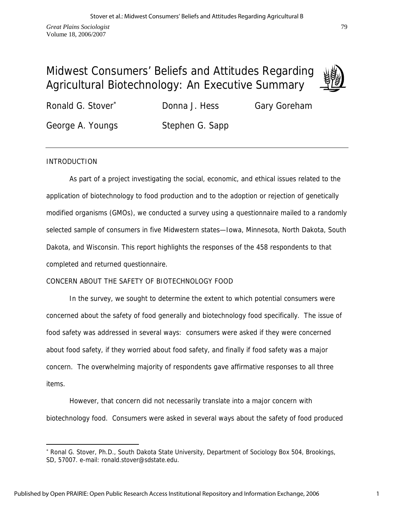# Midwest Consumers' Beliefs and Attitudes Regarding Agricultural Biotechnology: An Executive Summary



Ronald G. Stover<sup>\*</sup> Donna J. Hess Gary Goreham George A. Youngs Stephen G. Sapp

## INTRODUCTION

 $\overline{a}$ 

 As part of a project investigating the social, economic, and ethical issues related to the application of biotechnology to food production and to the adoption or rejection of genetically modified organisms (GMOs), we conducted a survey using a questionnaire mailed to a randomly selected sample of consumers in five Midwestern states—Iowa, Minnesota, North Dakota, South Dakota, and Wisconsin. This report highlights the responses of the 458 respondents to that completed and returned questionnaire.

# CONCERN ABOUT THE SAFETY OF BIOTECHNOLOGY FOOD

 In the survey, we sought to determine the extent to which potential consumers were concerned about the safety of food generally and biotechnology food specifically. The issue of food safety was addressed in several ways: consumers were asked if they were concerned about food safety, if they worried about food safety, and finally if food safety was a major concern. The overwhelming majority of respondents gave affirmative responses to all three items.

 However, that concern did not necessarily translate into a major concern with biotechnology food. Consumers were asked in several ways about the safety of food produced

<sup>∗</sup> Ronal G. Stover, Ph.D., South Dakota State University, Department of Sociology Box 504, Brookings, SD, 57007. e-mail: ronald.stover@sdstate.edu.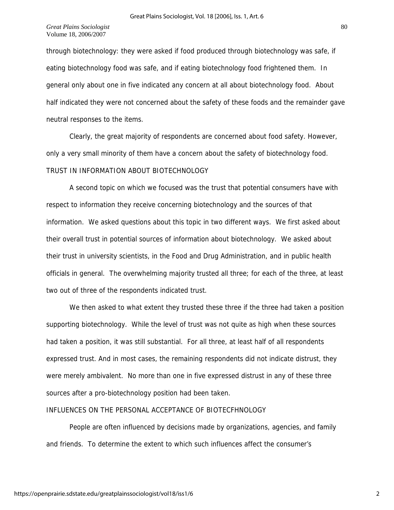through biotechnology: they were asked if food produced through biotechnology was safe, if eating biotechnology food was safe, and if eating biotechnology food frightened them. In general only about one in five indicated any concern at all about biotechnology food. About half indicated they were not concerned about the safety of these foods and the remainder gave neutral responses to the items.

 Clearly, the great majority of respondents are concerned about food safety. However, only a very small minority of them have a concern about the safety of biotechnology food. TRUST IN INFORMATION ABOUT BIOTECHNOLOGY

 A second topic on which we focused was the trust that potential consumers have with respect to information they receive concerning biotechnology and the sources of that information. We asked questions about this topic in two different ways. We first asked about their overall trust in potential sources of information about biotechnology. We asked about their trust in university scientists, in the Food and Drug Administration, and in public health officials in general. The overwhelming majority trusted all three; for each of the three, at least two out of three of the respondents indicated trust.

 We then asked to what extent they trusted these three if the three had taken a position supporting biotechnology. While the level of trust was not quite as high when these sources had taken a position, it was still substantial. For all three, at least half of all respondents expressed trust. And in most cases, the remaining respondents did not indicate distrust, they were merely ambivalent. No more than one in five expressed distrust in any of these three sources after a pro-biotechnology position had been taken.

### INFLUENCES ON THE PERSONAL ACCEPTANCE OF BIOTECFHNOLOGY

 People are often influenced by decisions made by organizations, agencies, and family and friends. To determine the extent to which such influences affect the consumer's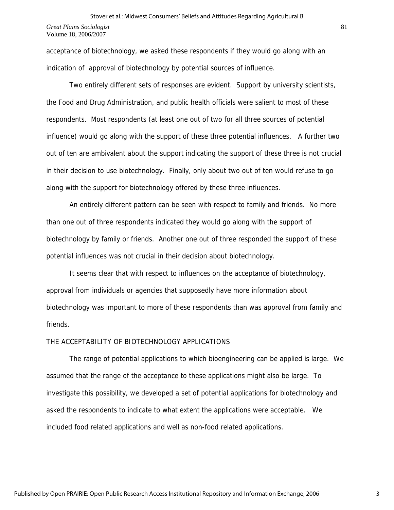acceptance of biotechnology, we asked these respondents if they would go along with an indication of approval of biotechnology by potential sources of influence.

 Two entirely different sets of responses are evident. Support by university scientists, the Food and Drug Administration, and public health officials were salient to most of these respondents. Most respondents (at least one out of two for all three sources of potential influence) would go along with the support of these three potential influences. A further two out of ten are ambivalent about the support indicating the support of these three is not crucial in their decision to use biotechnology. Finally, only about two out of ten would refuse to go along with the support for biotechnology offered by these three influences.

 An entirely different pattern can be seen with respect to family and friends. No more than one out of three respondents indicated they would go along with the support of biotechnology by family or friends. Another one out of three responded the support of these potential influences was not crucial in their decision about biotechnology.

 It seems clear that with respect to influences on the acceptance of biotechnology, approval from individuals or agencies that supposedly have more information about biotechnology was important to more of these respondents than was approval from family and friends.

### THE ACCEPTABILITY OF BIOTECHNOLOGY APPLICATIONS

 The range of potential applications to which bioengineering can be applied is large. We assumed that the range of the acceptance to these applications might also be large. To investigate this possibility, we developed a set of potential applications for biotechnology and asked the respondents to indicate to what extent the applications were acceptable. We included food related applications and well as non-food related applications.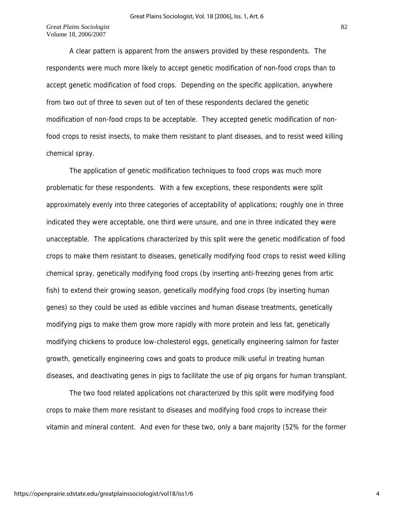A clear pattern is apparent from the answers provided by these respondents. The respondents were much more likely to accept genetic modification of non-food crops than to accept genetic modification of food crops. Depending on the specific application, anywhere from two out of three to seven out of ten of these respondents declared the genetic modification of non-food crops to be acceptable. They accepted genetic modification of nonfood crops to resist insects, to make them resistant to plant diseases, and to resist weed killing chemical spray.

 The application of genetic modification techniques to food crops was much more problematic for these respondents. With a few exceptions, these respondents were split approximately evenly into three categories of acceptability of applications; roughly one in three indicated they were acceptable, one third were unsure, and one in three indicated they were unacceptable. The applications characterized by this split were the genetic modification of food crops to make them resistant to diseases, genetically modifying food crops to resist weed killing chemical spray, genetically modifying food crops (by inserting anti-freezing genes from artic fish) to extend their growing season, genetically modifying food crops (by inserting human genes) so they could be used as edible vaccines and human disease treatments, genetically modifying pigs to make them grow more rapidly with more protein and less fat, genetically modifying chickens to produce low-cholesterol eggs, genetically engineering salmon for faster growth, genetically engineering cows and goats to produce milk useful in treating human diseases, and deactivating genes in pigs to facilitate the use of pig organs for human transplant.

 The two food related applications not characterized by this split were modifying food crops to make them more resistant to diseases and modifying food crops to increase their vitamin and mineral content. And even for these two, only a bare majority (52% for the former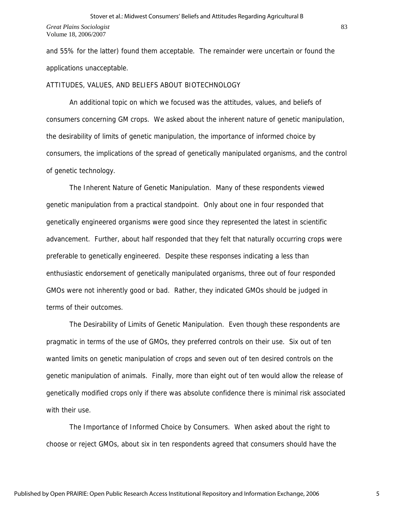*Great Plains Sociologist*  Volume 18, 2006/2007

and 55% for the latter) found them acceptable. The remainder were uncertain or found the applications unacceptable.

#### ATTITUDES, VALUES, AND BELIEFS ABOUT BIOTECHNOLOGY

 An additional topic on which we focused was the attitudes, values, and beliefs of consumers concerning GM crops. We asked about the inherent nature of genetic manipulation, the desirability of limits of genetic manipulation, the importance of informed choice by consumers, the implications of the spread of genetically manipulated organisms, and the control of genetic technology.

 The Inherent Nature of Genetic Manipulation. Many of these respondents viewed genetic manipulation from a practical standpoint. Only about one in four responded that genetically engineered organisms were good since they represented the latest in scientific advancement. Further, about half responded that they felt that naturally occurring crops were preferable to genetically engineered. Despite these responses indicating a less than enthusiastic endorsement of genetically manipulated organisms, three out of four responded GMOs were not inherently good or bad. Rather, they indicated GMOs should be judged in terms of their outcomes.

 The Desirability of Limits of Genetic Manipulation. Even though these respondents are pragmatic in terms of the use of GMOs, they preferred controls on their use. Six out of ten wanted limits on genetic manipulation of crops and seven out of ten desired controls on the genetic manipulation of animals. Finally, more than eight out of ten would allow the release of genetically modified crops only if there was absolute confidence there is minimal risk associated with their use.

 The Importance of Informed Choice by Consumers. When asked about the right to choose or reject GMOs, about six in ten respondents agreed that consumers should have the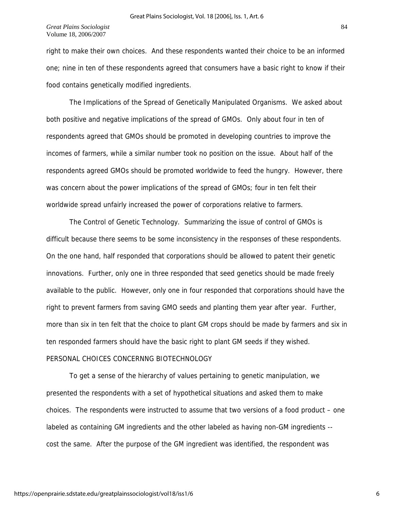#### *Great Plains Sociologist*  Volume 18, 2006/2007

right to make their own choices. And these respondents wanted their choice to be an informed one; nine in ten of these respondents agreed that consumers have a basic right to know if their food contains genetically modified ingredients.

 The Implications of the Spread of Genetically Manipulated Organisms. We asked about both positive and negative implications of the spread of GMOs. Only about four in ten of respondents agreed that GMOs should be promoted in developing countries to improve the incomes of farmers, while a similar number took no position on the issue. About half of the respondents agreed GMOs should be promoted worldwide to feed the hungry. However, there was concern about the power implications of the spread of GMOs; four in ten felt their worldwide spread unfairly increased the power of corporations relative to farmers.

 The Control of Genetic Technology. Summarizing the issue of control of GMOs is difficult because there seems to be some inconsistency in the responses of these respondents. On the one hand, half responded that corporations should be allowed to patent their genetic innovations. Further, only one in three responded that seed genetics should be made freely available to the public. However, only one in four responded that corporations should have the right to prevent farmers from saving GMO seeds and planting them year after year. Further, more than six in ten felt that the choice to plant GM crops should be made by farmers and six in ten responded farmers should have the basic right to plant GM seeds if they wished. PERSONAL CHOICES CONCERNNG BIOTECHNOLOGY

 To get a sense of the hierarchy of values pertaining to genetic manipulation, we presented the respondents with a set of hypothetical situations and asked them to make choices. The respondents were instructed to assume that two versions of a food product – one labeled as containing GM ingredients and the other labeled as having non-GM ingredients - cost the same. After the purpose of the GM ingredient was identified, the respondent was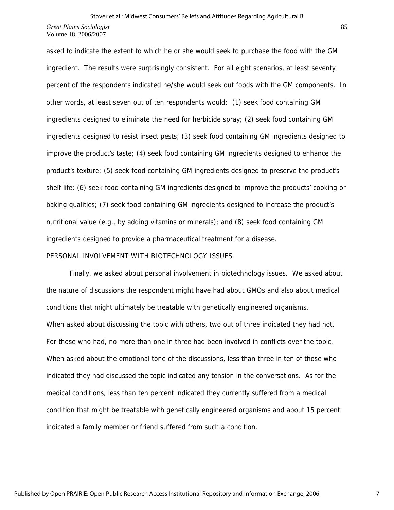Volume 18, 2006/2007

asked to indicate the extent to which he or she would seek to purchase the food with the GM ingredient. The results were surprisingly consistent. For all eight scenarios, at least seventy percent of the respondents indicated he/she would seek out foods with the GM components. In other words, at least seven out of ten respondents would: (1) seek food containing GM ingredients designed to eliminate the need for herbicide spray; (2) seek food containing GM ingredients designed to resist insect pests; (3) seek food containing GM ingredients designed to improve the product's taste; (4) seek food containing GM ingredients designed to enhance the product's texture; (5) seek food containing GM ingredients designed to preserve the product's shelf life; (6) seek food containing GM ingredients designed to improve the products' cooking or baking qualities; (7) seek food containing GM ingredients designed to increase the product's nutritional value (e.g., by adding vitamins or minerals); and (8) seek food containing GM ingredients designed to provide a pharmaceutical treatment for a disease.

### PERSONAL INVOLVEMENT WITH BIOTECHNOLOGY ISSUES

 Finally, we asked about personal involvement in biotechnology issues. We asked about the nature of discussions the respondent might have had about GMOs and also about medical conditions that might ultimately be treatable with genetically engineered organisms. When asked about discussing the topic with others, two out of three indicated they had not. For those who had, no more than one in three had been involved in conflicts over the topic. When asked about the emotional tone of the discussions, less than three in ten of those who indicated they had discussed the topic indicated any tension in the conversations. As for the medical conditions, less than ten percent indicated they currently suffered from a medical condition that might be treatable with genetically engineered organisms and about 15 percent indicated a family member or friend suffered from such a condition.

85